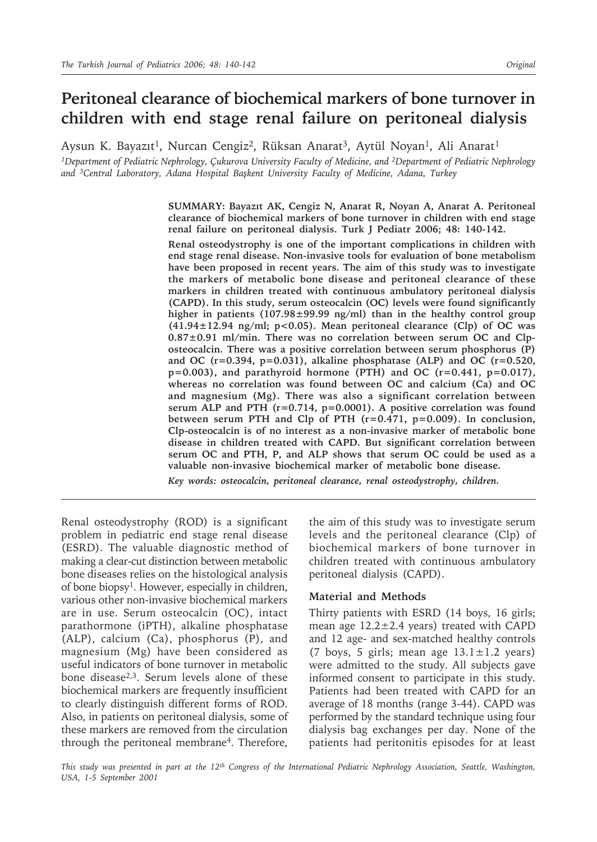# **Peritoneal clearance of biochemical markers of bone turnover in children with end stage renal failure on peritoneal dialysis**

Aysun K. Bayazıt<sup>1</sup>, Nurcan Cengiz<sup>2</sup>, Rüksan Anarat<sup>3</sup>, Aytül Noyan<sup>1</sup>, Ali Anarat<sup>1</sup>

*1Department of Pediatric Nephrology, Çukurova University Faculty of Medicine, and 2Department of Pediatric Nephrology and 3Central Laboratory, Adana Hospital Başkent University Faculty of Medicine, Adana, Turkey*

> **SUMMARY: Bayazıt AK, Cengiz N, Anarat R, Noyan A, Anarat A. Peritoneal clearance of biochemical markers of bone turnover in children with end stage renal failure on peritoneal dialysis. Turk J Pediatr 2006; 48: 140-142.**

> **Renal osteodystrophy is one of the important complications in children with end stage renal disease. Non-invasive tools for evaluation of bone metabolism have been proposed in recent years. The aim of this study was to investigate the markers of metabolic bone disease and peritoneal clearance of these markers in children treated with continuous ambulatory peritoneal dialysis (CAPD). In this study, serum osteocalcin (OC) levels were found significantly higher in patients (107.98±99.99 ng/ml) than in the healthy control group (41.94±12.94 ng/ml; p<0.05). Mean peritoneal clearance (Clp) of OC was 0.87±0.91 ml/min. There was no correlation between serum OC and Clposteocalcin. There was a positive correlation between serum phosphorus (P) and OC (r=0.394, p=0.031), alkaline phosphatase (ALP) and OC (r=0.520,**   $p=0.003$ ), and parathyroid hormone (PTH) and OC ( $r=0.441$ ,  $p=0.017$ ), **whereas no correlation was found between OC and calcium (Ca) and OC and magnesium (Mg). There was also a significant correlation between serum ALP and PTH (r=0.714, p=0.0001). A positive correlation was found between serum PTH and Clp of PTH (r=0.471, p=0.009). In conclusion, Clp-osteocalcin is of no interest as a non-invasive marker of metabolic bone disease in children treated with CAPD. But significant correlation between serum OC and PTH, P, and ALP shows that serum OC could be used as a valuable non-invasive biochemical marker of metabolic bone disease.**

*Key words: osteocalcin, peritoneal clearance, renal osteodystrophy, children.*

Renal osteodystrophy (ROD) is a significant problem in pediatric end stage renal disease (ESRD). The valuable diagnostic method of making a clear-cut distinction between metabolic bone diseases relies on the histological analysis of bone biopsy1. However, especially in children, various other non-invasive biochemical markers are in use. Serum osteocalcin (OC), intact parathormone (iPTH), alkaline phosphatase (ALP), calcium (Ca), phosphorus (P), and magnesium (Mg) have been considered as useful indicators of bone turnover in metabolic bone disease2,3. Serum levels alone of these biochemical markers are frequently insufficient to clearly distinguish different forms of ROD. Also, in patients on peritoneal dialysis, some of these markers are removed from the circulation through the peritoneal membrane4. Therefore,

the aim of this study was to investigate serum levels and the peritoneal clearance (Clp) of biochemical markers of bone turnover in children treated with continuous ambulatory peritoneal dialysis (CAPD).

## **Material and Methods**

Thirty patients with ESRD (14 boys, 16 girls; mean age 12.2±2.4 years) treated with CAPD and 12 age- and sex-matched healthy controls (7 boys, 5 girls; mean age  $13.1 \pm 1.2$  years) were admitted to the study. All subjects gave informed consent to participate in this study. Patients had been treated with CAPD for an average of 18 months (range 3-44). CAPD was performed by the standard technique using four dialysis bag exchanges per day. None of the patients had peritonitis episodes for at least

*This study was presented in part at the 12th Congress of the International Pediatric Nephrology Association, Seattle, Washington, USA, 1-5 September 2001*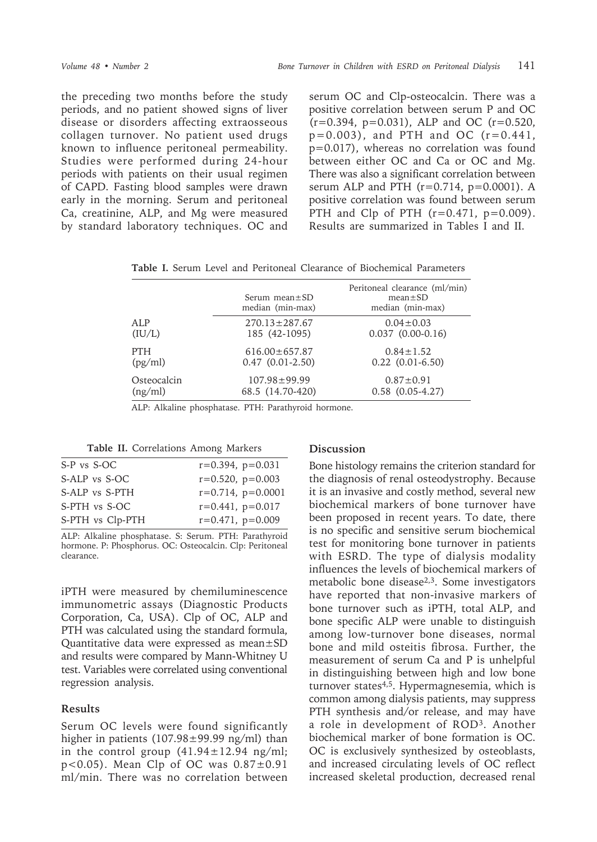the preceding two months before the study periods, and no patient showed signs of liver disease or disorders affecting extraosseous collagen turnover. No patient used drugs known to influence peritoneal permeability. Studies were performed during 24-hour periods with patients on their usual regimen of CAPD. Fasting blood samples were drawn early in the morning. Serum and peritoneal Ca, creatinine, ALP, and Mg were measured by standard laboratory techniques. OC and

serum OC and Clp-osteocalcin. There was a positive correlation between serum P and OC  $(r=0.394, p=0.031)$ , ALP and OC  $(r=0.520,$  $p=0.003$ ), and PTH and OC ( $r=0.441$ , p=0.017), whereas no correlation was found between either OC and Ca or OC and Mg. There was also a significant correlation between serum ALP and PTH  $(r=0.714, p=0.0001)$ . A positive correlation was found between serum PTH and Clp of PTH  $(r=0.471, p=0.009)$ . Results are summarized in Tables I and II.

**Table I.** Serum Level and Peritoneal Clearance of Biochemical Parameters

|             | Serum mean $\pm$ SD<br>median (min-max) | Peritoneal clearance (ml/min)<br>$mean \pm SD$<br>median (min-max) |
|-------------|-----------------------------------------|--------------------------------------------------------------------|
| ALP         | $270.13 \pm 287.67$                     | $0.04 \pm 0.03$                                                    |
| (IU/L)      | 185 (42-1095)                           | $0.037$ $(0.00-0.16)$                                              |
| PTH         | $616.00 \pm 657.87$                     | $0.84 \pm 1.52$                                                    |
| (pg/ml)     | $0.47$ $(0.01-2.50)$                    | $0.22$ $(0.01-6.50)$                                               |
| Osteocalcin | $107.98 \pm 99.99$                      | $0.87 \pm 0.91$                                                    |
| (ng/ml)     | 68.5 (14.70-420)                        | $0.58$ $(0.05-4.27)$                                               |

ALP: Alkaline phosphatase. PTH: Parathyroid hormone.

**Table II.** Correlations Among Markers

| $r=0.394$ , $p=0.031$  |
|------------------------|
| $r=0.520$ , $p=0.003$  |
| $r=0.714$ , $p=0.0001$ |
| $r=0.441$ , $p=0.017$  |
| $r=0.471$ , $p=0.009$  |
|                        |

ALP: Alkaline phosphatase. S: Serum. PTH: Parathyroid hormone. P: Phosphorus. OC: Osteocalcin. Clp: Peritoneal clearance.

iPTH were measured by chemiluminescence immunometric assays (Diagnostic Products Corporation, Ca, USA). Clp of OC, ALP and PTH was calculated using the standard formula, Quantitative data were expressed as mean±SD and results were compared by Mann-Whitney U test. Variables were correlated using conventional regression analysis.

### **Results**

Serum OC levels were found significantly higher in patients  $(107.98 \pm 99.99 \text{ ng/ml})$  than in the control group  $(41.94 \pm 12.94 \text{ ng/ml})$ ;  $p < 0.05$ ). Mean Clp of OC was  $0.87 \pm 0.91$ ml/min. There was no correlation between

### **Discussion**

Bone histology remains the criterion standard for the diagnosis of renal osteodystrophy. Because it is an invasive and costly method, several new biochemical markers of bone turnover have been proposed in recent years. To date, there is no specific and sensitive serum biochemical test for monitoring bone turnover in patients with ESRD. The type of dialysis modality influences the levels of biochemical markers of metabolic bone disease<sup>2,3</sup>. Some investigators have reported that non-invasive markers of bone turnover such as iPTH, total ALP, and bone specific ALP were unable to distinguish among low-turnover bone diseases, normal bone and mild osteitis fibrosa. Further, the measurement of serum Ca and P is unhelpful in distinguishing between high and low bone turnover states<sup>4,5</sup>. Hypermagnesemia, which is common among dialysis patients, may suppress PTH synthesis and/or release, and may have a role in development of ROD3. Another biochemical marker of bone formation is OC. OC is exclusively synthesized by osteoblasts, and increased circulating levels of OC reflect increased skeletal production, decreased renal